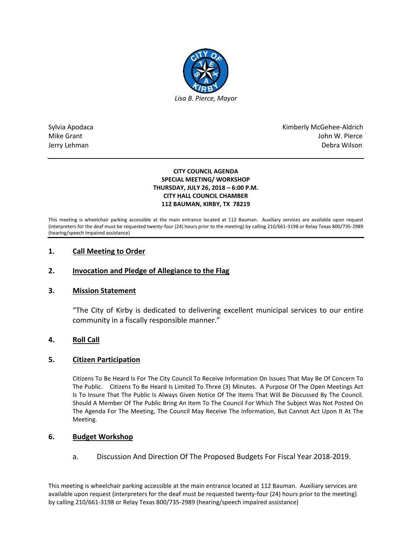

Sylvia Apodaca National Apodaca Kimberly McGehee-Aldrich Mike Grant John W. Pierce Jerry Lehman Debra Wilson

### **CITY COUNCIL AGENDA SPECIAL MEETING/ WORKSHOP THURSDAY, JULY 26, 2018 – 6:00 P.M. CITY HALL COUNCIL CHAMBER 112 BAUMAN, KIRBY, TX 78219**

This meeting is wheelchair parking accessible at the main entrance located at 112 Bauman. Auxiliary services are available upon request (interpreters for the deaf must be requested twenty-four (24) hours prior to the meeting) by calling 210/661-3198 or Relay Texas 800/735-2989 (hearing/speech impaired assistance)

# **1. Call Meeting to Order**

# **2. Invocation and Pledge of Allegiance to the Flag**

# **3. Mission Statement**

"The City of Kirby is dedicated to delivering excellent municipal services to our entire community in a fiscally responsible manner."

# **4. Roll Call**

# **5. Citizen Participation**

Citizens To Be Heard Is For The City Council To Receive Information On Issues That May Be Of Concern To The Public. Citizens To Be Heard Is Limited To Three (3) Minutes. A Purpose Of The Open Meetings Act Is To Insure That The Public Is Always Given Notice Of The Items That Will Be Discussed By The Council. Should A Member Of The Public Bring An Item To The Council For Which The Subject Was Not Posted On The Agenda For The Meeting, The Council May Receive The Information, But Cannot Act Upon It At The Meeting.

# **6. Budget Workshop**

a. Discussion And Direction Of The Proposed Budgets For Fiscal Year 2018-2019.

This meeting is wheelchair parking accessible at the main entrance located at 112 Bauman. Auxiliary services are available upon request (interpreters for the deaf must be requested twenty-four (24) hours prior to the meeting) by calling 210/661-3198 or Relay Texas 800/735-2989 (hearing/speech impaired assistance)